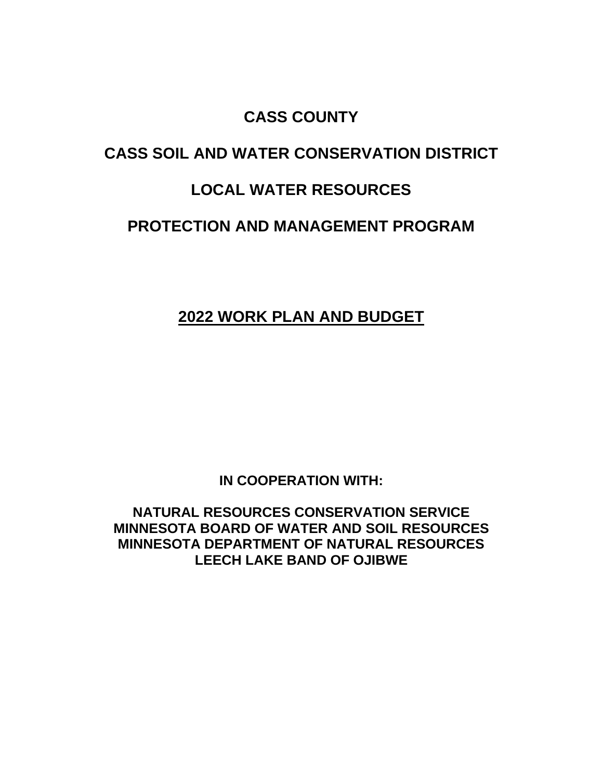# **CASS COUNTY**

# **CASS SOIL AND WATER CONSERVATION DISTRICT**

# **LOCAL WATER RESOURCES**

## **PROTECTION AND MANAGEMENT PROGRAM**

# **2022 WORK PLAN AND BUDGET**

**IN COOPERATION WITH:**

**NATURAL RESOURCES CONSERVATION SERVICE MINNESOTA BOARD OF WATER AND SOIL RESOURCES MINNESOTA DEPARTMENT OF NATURAL RESOURCES LEECH LAKE BAND OF OJIBWE**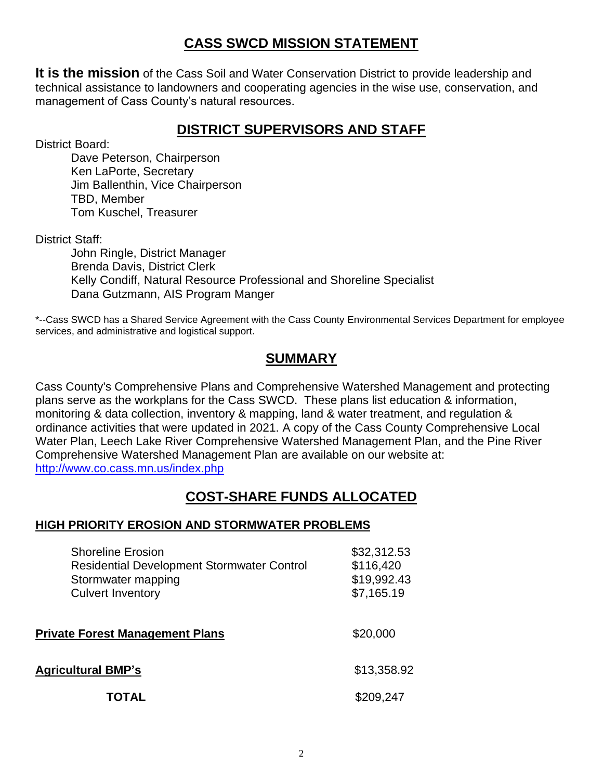### **CASS SWCD MISSION STATEMENT**

**It is the mission** of the Cass Soil and Water Conservation District to provide leadership and technical assistance to landowners and cooperating agencies in the wise use, conservation, and management of Cass County's natural resources.

### **DISTRICT SUPERVISORS AND STAFF**

District Board:

Dave Peterson, Chairperson Ken LaPorte, Secretary Jim Ballenthin, Vice Chairperson TBD, Member Tom Kuschel, Treasurer

District Staff:

John Ringle, District Manager Brenda Davis, District Clerk Kelly Condiff, Natural Resource Professional and Shoreline Specialist Dana Gutzmann, AIS Program Manger

\*--Cass SWCD has a Shared Service Agreement with the Cass County Environmental Services Department for employee services, and administrative and logistical support.

### **SUMMARY**

Cass County's Comprehensive Plans and Comprehensive Watershed Management and protecting plans serve as the workplans for the Cass SWCD. These plans list education & information, monitoring & data collection, inventory & mapping, land & water treatment, and regulation & ordinance activities that were updated in 2021. A copy of the Cass County Comprehensive Local Water Plan, Leech Lake River Comprehensive Watershed Management Plan, and the Pine River Comprehensive Watershed Management Plan are available on our website at: <http://www.co.cass.mn.us/index.php>

### **COST-SHARE FUNDS ALLOCATED**

### **HIGH PRIORITY EROSION AND STORMWATER PROBLEMS**

| <b>Shoreline Erosion</b><br><b>Residential Development Stormwater Control</b><br>Stormwater mapping<br><b>Culvert Inventory</b> | \$32,312.53<br>\$116,420<br>\$19,992.43<br>\$7,165.19 |
|---------------------------------------------------------------------------------------------------------------------------------|-------------------------------------------------------|
| <b>Private Forest Management Plans</b>                                                                                          | \$20,000                                              |
| <b>Agricultural BMP's</b>                                                                                                       | \$13,358.92                                           |
| ΤΟΤΑΙ                                                                                                                           | \$209,247                                             |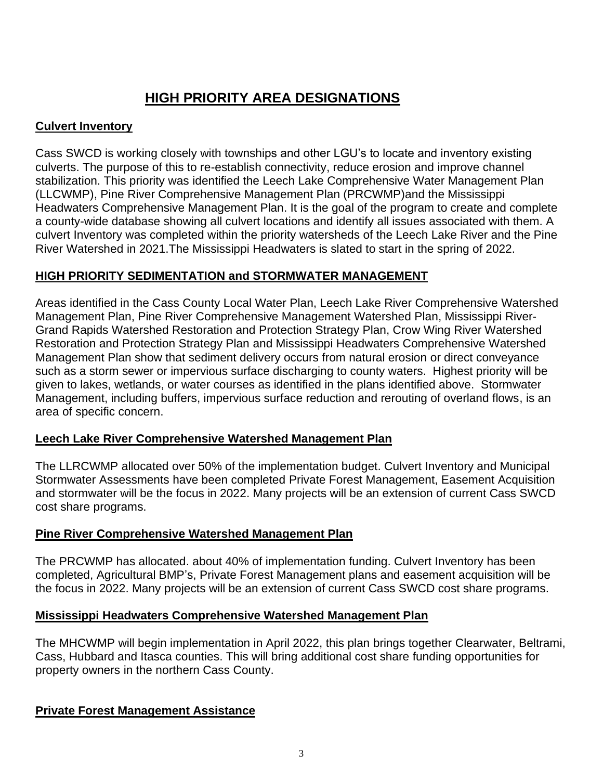### **HIGH PRIORITY AREA DESIGNATIONS**

### **Culvert Inventory**

Cass SWCD is working closely with townships and other LGU's to locate and inventory existing culverts. The purpose of this to re-establish connectivity, reduce erosion and improve channel stabilization. This priority was identified the Leech Lake Comprehensive Water Management Plan (LLCWMP), Pine River Comprehensive Management Plan (PRCWMP)and the Mississippi Headwaters Comprehensive Management Plan. It is the goal of the program to create and complete a county-wide database showing all culvert locations and identify all issues associated with them. A culvert Inventory was completed within the priority watersheds of the Leech Lake River and the Pine River Watershed in 2021.The Mississippi Headwaters is slated to start in the spring of 2022.

### **HIGH PRIORITY SEDIMENTATION and STORMWATER MANAGEMENT**

Areas identified in the Cass County Local Water Plan, Leech Lake River Comprehensive Watershed Management Plan, Pine River Comprehensive Management Watershed Plan, Mississippi River-Grand Rapids Watershed Restoration and Protection Strategy Plan, Crow Wing River Watershed Restoration and Protection Strategy Plan and Mississippi Headwaters Comprehensive Watershed Management Plan show that sediment delivery occurs from natural erosion or direct conveyance such as a storm sewer or impervious surface discharging to county waters. Highest priority will be given to lakes, wetlands, or water courses as identified in the plans identified above. Stormwater Management, including buffers, impervious surface reduction and rerouting of overland flows, is an area of specific concern.

### **Leech Lake River Comprehensive Watershed Management Plan**

The LLRCWMP allocated over 50% of the implementation budget. Culvert Inventory and Municipal Stormwater Assessments have been completed Private Forest Management, Easement Acquisition and stormwater will be the focus in 2022. Many projects will be an extension of current Cass SWCD cost share programs.

### **Pine River Comprehensive Watershed Management Plan**

The PRCWMP has allocated. about 40% of implementation funding. Culvert Inventory has been completed, Agricultural BMP's, Private Forest Management plans and easement acquisition will be the focus in 2022. Many projects will be an extension of current Cass SWCD cost share programs.

### **Mississippi Headwaters Comprehensive Watershed Management Plan**

The MHCWMP will begin implementation in April 2022, this plan brings together Clearwater, Beltrami, Cass, Hubbard and Itasca counties. This will bring additional cost share funding opportunities for property owners in the northern Cass County.

### **Private Forest Management Assistance**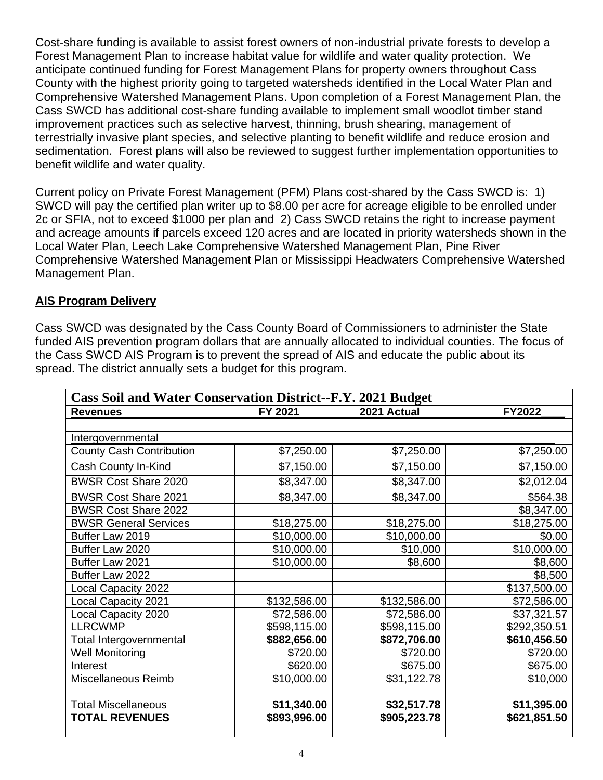Cost-share funding is available to assist forest owners of non-industrial private forests to develop a Forest Management Plan to increase habitat value for wildlife and water quality protection. We anticipate continued funding for Forest Management Plans for property owners throughout Cass County with the highest priority going to targeted watersheds identified in the Local Water Plan and Comprehensive Watershed Management Plans. Upon completion of a Forest Management Plan, the Cass SWCD has additional cost-share funding available to implement small woodlot timber stand improvement practices such as selective harvest, thinning, brush shearing, management of terrestrially invasive plant species, and selective planting to benefit wildlife and reduce erosion and sedimentation. Forest plans will also be reviewed to suggest further implementation opportunities to benefit wildlife and water quality.

Current policy on Private Forest Management (PFM) Plans cost-shared by the Cass SWCD is: 1) SWCD will pay the certified plan writer up to \$8.00 per acre for acreage eligible to be enrolled under 2c or SFIA, not to exceed \$1000 per plan and 2) Cass SWCD retains the right to increase payment and acreage amounts if parcels exceed 120 acres and are located in priority watersheds shown in the Local Water Plan, Leech Lake Comprehensive Watershed Management Plan, Pine River Comprehensive Watershed Management Plan or Mississippi Headwaters Comprehensive Watershed Management Plan.

#### **AIS Program Delivery**

Cass SWCD was designated by the Cass County Board of Commissioners to administer the State funded AIS prevention program dollars that are annually allocated to individual counties. The focus of the Cass SWCD AIS Program is to prevent the spread of AIS and educate the public about its spread. The district annually sets a budget for this program.

| <b>Cass Soil and Water Conservation District--F.Y. 2021 Budget</b> |              |              |               |  |  |
|--------------------------------------------------------------------|--------------|--------------|---------------|--|--|
| <b>Revenues</b>                                                    | FY 2021      | 2021 Actual  | <b>FY2022</b> |  |  |
|                                                                    |              |              |               |  |  |
| Intergovernmental                                                  |              |              |               |  |  |
| <b>County Cash Contribution</b>                                    | \$7,250.00   | \$7,250.00   | \$7,250.00    |  |  |
| Cash County In-Kind                                                | \$7,150.00   | \$7,150.00   | \$7,150.00    |  |  |
| <b>BWSR Cost Share 2020</b>                                        | \$8,347.00   | \$8,347.00   | \$2,012.04    |  |  |
| <b>BWSR Cost Share 2021</b>                                        | \$8,347.00   | \$8,347.00   | \$564.38      |  |  |
| <b>BWSR Cost Share 2022</b>                                        |              |              | \$8,347.00    |  |  |
| <b>BWSR General Services</b>                                       | \$18,275.00  | \$18,275.00  | \$18,275.00   |  |  |
| Buffer Law 2019                                                    | \$10,000.00  | \$10,000.00  | \$0.00        |  |  |
| Buffer Law 2020                                                    | \$10,000.00  | \$10,000     | \$10,000.00   |  |  |
| Buffer Law 2021                                                    | \$10,000.00  | \$8,600      | \$8,600       |  |  |
| Buffer Law 2022                                                    |              |              | \$8,500       |  |  |
| Local Capacity 2022                                                |              |              | \$137,500.00  |  |  |
| <b>Local Capacity 2021</b>                                         | \$132,586.00 | \$132,586.00 | \$72,586.00   |  |  |
| Local Capacity 2020                                                | \$72,586.00  | \$72,586.00  | \$37,321.57   |  |  |
| <b>LLRCWMP</b>                                                     | \$598,115.00 | \$598,115.00 | \$292,350.51  |  |  |
| Total Intergovernmental                                            | \$882,656.00 | \$872,706.00 | \$610,456.50  |  |  |
| <b>Well Monitoring</b>                                             | \$720.00     | \$720.00     | \$720.00      |  |  |
| Interest                                                           | \$620.00     | \$675.00     | \$675.00      |  |  |
| Miscellaneous Reimb                                                | \$10,000.00  | \$31,122.78  | \$10,000      |  |  |
|                                                                    |              |              |               |  |  |
| <b>Total Miscellaneous</b>                                         | \$11,340.00  | \$32,517.78  | \$11,395.00   |  |  |
| <b>TOTAL REVENUES</b>                                              | \$893,996.00 | \$905,223.78 | \$621,851.50  |  |  |
|                                                                    |              |              |               |  |  |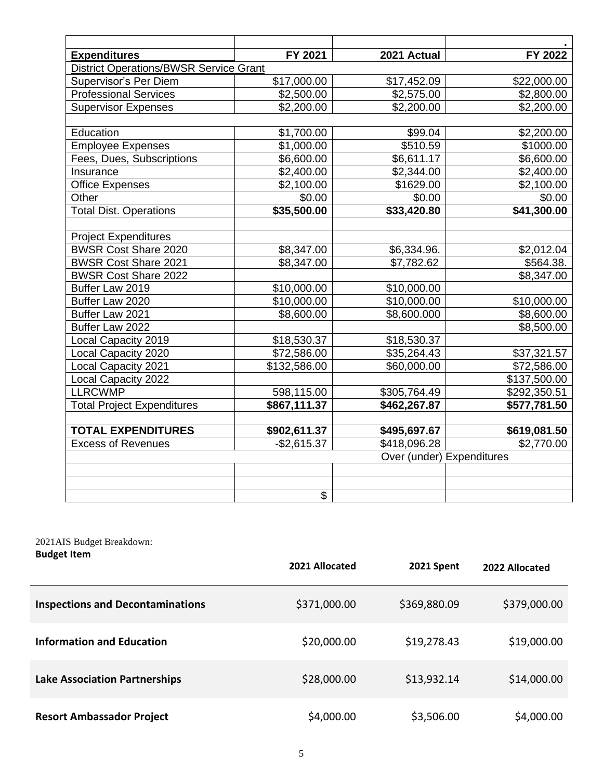| <b>Expenditures</b><br><b>District Operations/BWSR Service Grant</b> | FY 2021      | 2021 Actual               | FY 2022      |
|----------------------------------------------------------------------|--------------|---------------------------|--------------|
| Supervisor's Per Diem                                                | \$17,000.00  | \$17,452.09               | \$22,000.00  |
| <b>Professional Services</b>                                         | \$2,500.00   | \$2,575.00                | \$2,800.00   |
| <b>Supervisor Expenses</b>                                           | \$2,200.00   | \$2,200.00                | \$2,200.00   |
|                                                                      |              |                           |              |
| Education                                                            | \$1,700.00   | \$99.04                   | \$2,200.00   |
| <b>Employee Expenses</b>                                             | \$1,000.00   | \$510.59                  | \$1000.00    |
| Fees, Dues, Subscriptions                                            | \$6,600.00   | \$6,611.17                | \$6,600.00   |
| Insurance                                                            | \$2,400.00   | \$2,344.00                | \$2,400.00   |
| <b>Office Expenses</b>                                               | \$2,100.00   | \$1629.00                 | \$2,100.00   |
| Other                                                                | \$0.00       | \$0.00                    | \$0.00       |
| <b>Total Dist. Operations</b>                                        | \$35,500.00  | \$33,420.80               | \$41,300.00  |
|                                                                      |              |                           |              |
| <b>Project Expenditures</b>                                          |              |                           |              |
| <b>BWSR Cost Share 2020</b>                                          | \$8,347.00   | \$6,334.96.               | \$2,012.04   |
| <b>BWSR Cost Share 2021</b>                                          | \$8,347.00   | \$7,782.62                | \$564.38.    |
| <b>BWSR Cost Share 2022</b>                                          |              |                           | \$8,347.00   |
| Buffer Law 2019                                                      | \$10,000.00  | \$10,000.00               |              |
| Buffer Law 2020                                                      | \$10,000.00  | $\overline{$10,000.00}$   | \$10,000.00  |
| Buffer Law 2021                                                      | \$8,600.00   | \$8,600.000               | \$8,600.00   |
| Buffer Law 2022                                                      |              |                           | \$8,500.00   |
| Local Capacity 2019                                                  | \$18,530.37  | \$18,530.37               |              |
| Local Capacity 2020                                                  | \$72,586.00  | \$35,264.43               | \$37,321.57  |
| Local Capacity 2021                                                  | \$132,586.00 | \$60,000.00               | \$72,586.00  |
| Local Capacity 2022                                                  |              |                           | \$137,500.00 |
| <b>LLRCWMP</b>                                                       | 598,115.00   | \$305,764.49              | \$292,350.51 |
| <b>Total Project Expenditures</b>                                    | \$867,111.37 | \$462,267.87              | \$577,781.50 |
| <b>TOTAL EXPENDITURES</b>                                            | \$902,611.37 | \$495,697.67              | \$619,081.50 |
| <b>Excess of Revenues</b>                                            | $-$2,615.37$ | \$418,096.28              | \$2,770.00   |
|                                                                      |              | Over (under) Expenditures |              |
|                                                                      |              |                           |              |
|                                                                      |              |                           |              |
|                                                                      | \$           |                           |              |

#### 2021AIS Budget Breakdown: **Budget Item**

| <b>DUUNCE ILCIII</b>                    | 2021 Allocated | 2021 Spent   | 2022 Allocated |
|-----------------------------------------|----------------|--------------|----------------|
| <b>Inspections and Decontaminations</b> | \$371,000.00   | \$369,880.09 | \$379,000.00   |
| <b>Information and Education</b>        | \$20,000.00    | \$19,278.43  | \$19,000.00    |
| <b>Lake Association Partnerships</b>    | \$28,000.00    | \$13,932.14  | \$14,000.00    |
| <b>Resort Ambassador Project</b>        | \$4,000.00     | \$3,506.00   | \$4,000.00     |